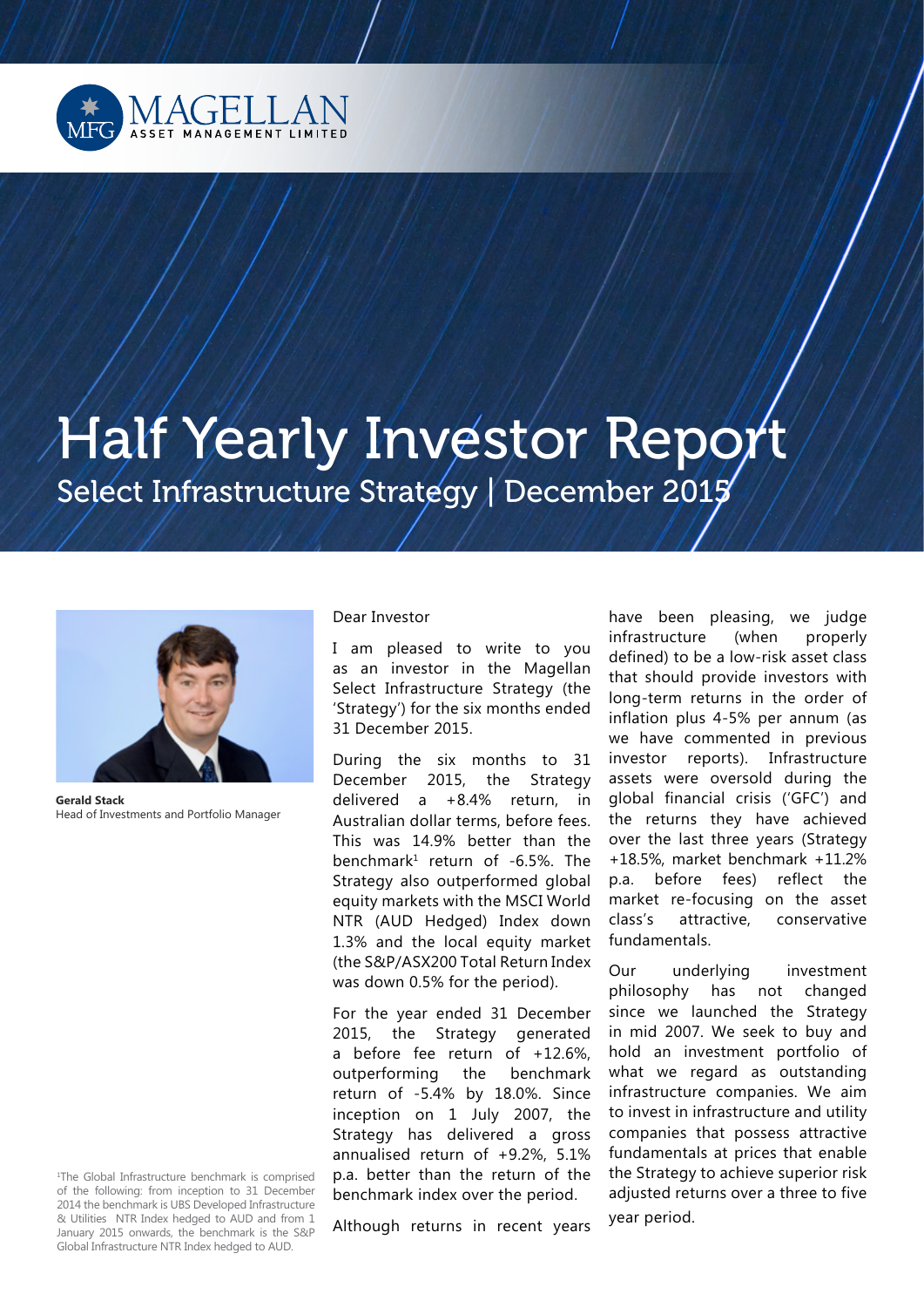

# Half Yearly Investor Report Select Infrastructure Strategy | December 2015



**Gerald Stack**  Head of Investments and Portfolio Manager

1 The Global Infrastructure benchmark is comprised of the following: from inception to 31 December 2014 the benchmark is UBS Developed Infrastructure & Utilities NTR Index hedged to AUD and from 1 January 2015 onwards, the benchmark is the S&P Global Infrastructure NTR Index hedged to AUD.

#### Dear Investor

I am pleased to write to you as an investor in the Magellan Select Infrastructure Strategy (the 'Strategy') for the six months ended 31 December 2015.

During the six months to 31 December 2015, the Strategy delivered a +8.4% return, in Australian dollar terms, before fees. This was 14.9% better than the benchmark<sup>1</sup> return of -6.5%. The Strategy also outperformed global equity markets with the MSCI World NTR (AUD Hedged) Index down 1.3% and the local equity market (the S&P/ASX200 Total Return Index was down 0.5% for the period).

For the year ended 31 December 2015, the Strategy generated a before fee return of +12.6%, outperforming the benchmark return of -5.4% by 18.0%. Since inception on 1 July 2007, the Strategy has delivered a gross annualised return of +9.2%, 5.1% p.a. better than the return of the benchmark index over the period.

Although returns in recent years

have been pleasing, we judge infrastructure (when properly defined) to be a low-risk asset class that should provide investors with long-term returns in the order of inflation plus 4-5% per annum (as we have commented in previous investor reports). Infrastructure assets were oversold during the global financial crisis ('GFC') and the returns they have achieved over the last three years (Strategy +18.5%, market benchmark +11.2% p.a. before fees) reflect the market re-focusing on the asset class's attractive, conservative fundamentals.

Our underlying investment philosophy has not changed since we launched the Strategy in mid 2007. We seek to buy and hold an investment portfolio of what we regard as outstanding infrastructure companies. We aim to invest in infrastructure and utility companies that possess attractive fundamentals at prices that enable the Strategy to achieve superior risk adjusted returns over a three to five year period.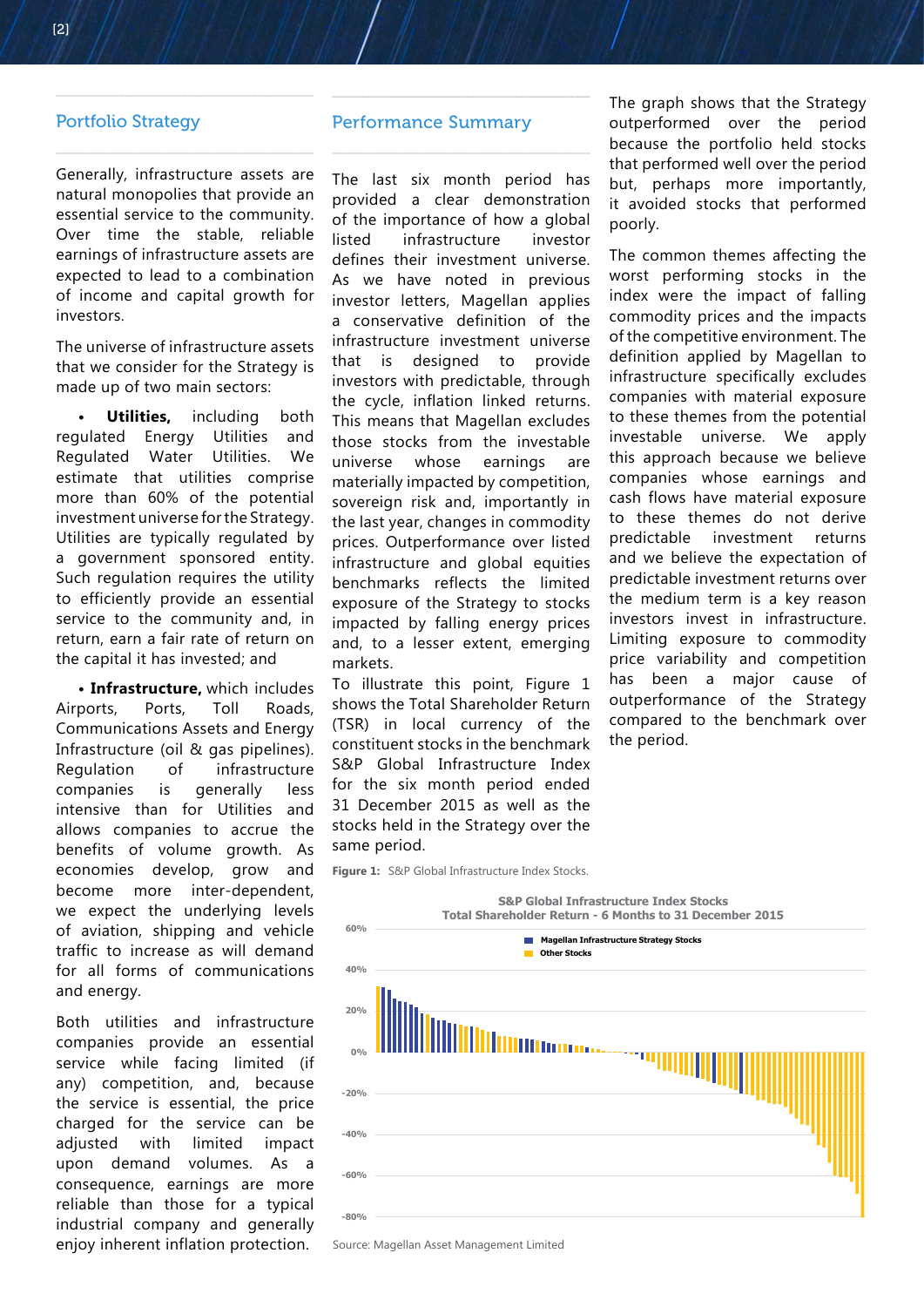#### Portfolio Strategy

Generally, infrastructure assets are natural monopolies that provide an essential service to the community. Over time the stable, reliable earnings of infrastructure assets are expected to lead to a combination of income and capital growth for investors.

\_\_\_\_\_\_\_\_\_\_\_\_\_\_\_\_\_\_\_\_\_\_\_\_\_\_\_\_\_\_\_\_\_\_\_\_\_\_\_\_\_

\_\_\_\_\_\_\_\_\_\_\_\_\_\_\_\_\_\_\_\_\_\_\_\_\_\_\_\_\_\_\_\_\_\_\_\_\_\_\_\_\_\_

The universe of infrastructure assets that we consider for the Strategy is made up of two main sectors:

**Utilities,** including both regulated Energy Utilities and Regulated Water Utilities. We estimate that utilities comprise more than 60% of the potential investment universe for the Strategy. Utilities are typically regulated by a government sponsored entity. Such regulation requires the utility to efficiently provide an essential service to the community and, in return, earn a fair rate of return on the capital it has invested; and

**• Infrastructure,** which includes Airports, Ports, Toll Roads, Communications Assets and Energy Infrastructure (oil & gas pipelines). Regulation of infrastructure companies is generally less intensive than for Utilities and allows companies to accrue the benefits of volume growth. As economies develop, grow and become more inter-dependent, we expect the underlying levels of aviation, shipping and vehicle traffic to increase as will demand for all forms of communications and energy.

Both utilities and infrastructure companies provide an essential service while facing limited (if any) competition, and, because the service is essential, the price charged for the service can be adjusted with limited impact upon demand volumes. As a consequence, earnings are more reliable than those for a typical industrial company and generally enjoy inherent inflation protection.

#### Performance Summary

 $\overline{\phantom{a}}$  , and the set of the set of the set of the set of the set of the set of the set of the set of the set of the set of the set of the set of the set of the set of the set of the set of the set of the set of the s

 $\overline{\phantom{a}}$  , and the set of the set of the set of the set of the set of the set of the set of the set of the set of the set of the set of the set of the set of the set of the set of the set of the set of the set of the s

The last six month period has provided a clear demonstration of the importance of how a global listed infrastructure investor defines their investment universe. As we have noted in previous investor letters, Magellan applies a conservative definition of the infrastructure investment universe that is designed to provide investors with predictable, through the cycle, inflation linked returns. This means that Magellan excludes those stocks from the investable universe whose earnings are materially impacted by competition, sovereign risk and, importantly in the last year, changes in commodity prices. Outperformance over listed infrastructure and global equities benchmarks reflects the limited exposure of the Strategy to stocks impacted by falling energy prices and, to a lesser extent, emerging markets.

To illustrate this point, Figure 1 shows the Total Shareholder Return (TSR) in local currency of the constituent stocks in the benchmark S&P Global Infrastructure Index for the six month period ended 31 December 2015 as well as the stocks held in the Strategy over the same period.

**Figure 1:** S&P Global Infrastructure Index Stocks.



Source: Magellan Asset Management Limited

The graph shows that the Strategy outperformed over the period because the portfolio held stocks that performed well over the period but, perhaps more importantly, it avoided stocks that performed poorly.

The common themes affecting the worst performing stocks in the index were the impact of falling commodity prices and the impacts of the competitive environment. The definition applied by Magellan to infrastructure specifically excludes companies with material exposure to these themes from the potential investable universe. We apply this approach because we believe companies whose earnings and cash flows have material exposure to these themes do not derive predictable investment returns and we believe the expectation of predictable investment returns over the medium term is a key reason investors invest in infrastructure. Limiting exposure to commodity price variability and competition has been a major cause of outperformance of the Strategy compared to the benchmark over the period.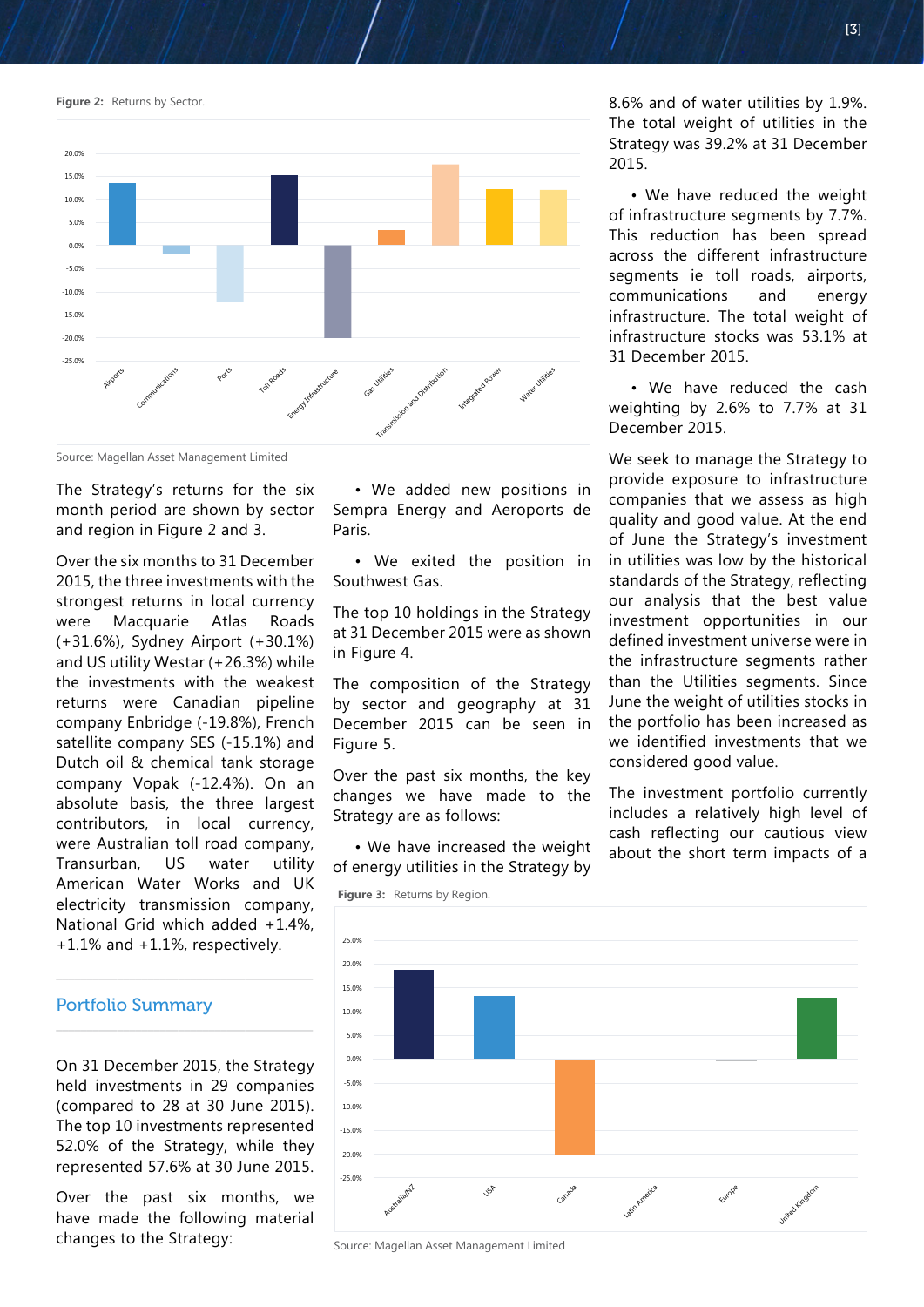**Figure 2: Returns by Sector.** 



Source: Magellan Asset Management Limited

The Strategy's returns for the six month period are shown by sector and region in Figure 2 and 3.

Over the six months to 31 December 2015, the three investments with the strongest returns in local currency were Macquarie Atlas Roads (+31.6%), Sydney Airport (+30.1%) and US utility Westar (+26.3%) while the investments with the weakest returns were Canadian pipeline company Enbridge (-19.8%), French satellite company SES (-15.1%) and Dutch oil & chemical tank storage company Vopak (-12.4%). On an absolute basis, the three largest contributors, in local currency, were Australian toll road company, Transurban, US water utility American Water Works and UK electricity transmission company, National Grid which added +1.4%, +1.1% and +1.1%, respectively.

#### Portfolio Summary

On 31 December 2015, the Strategy held investments in 29 companies (compared to 28 at 30 June 2015). The top 10 investments represented 52.0% of the Strategy, while they represented 57.6% at 30 June 2015.

 $\overline{\phantom{a}}$  , and the contract of the contract of the contract of the contract of the contract of the contract of the contract of the contract of the contract of the contract of the contract of the contract of the contrac

 $\overline{\phantom{a}}$  , and the contract of the contract of the contract of the contract of the contract of the contract of the contract of the contract of the contract of the contract of the contract of the contract of the contrac

Over the past six months, we have made the following material changes to the Strategy:

• We added new positions in Sempra Energy and Aeroports de Paris.

• We exited the position in Southwest Gas.

The top 10 holdings in the Strategy at 31 December 2015 were as shown in Figure 4.

The composition of the Strategy by sector and geography at 31 December 2015 can be seen in Figure 5.

Over the past six months, the key changes we have made to the Strategy are as follows:

• We have increased the weight of energy utilities in the Strategy by

8.6% and of water utilities by 1.9%. The total weight of utilities in the Strategy was 39.2% at 31 December 2015.

• We have reduced the weight of infrastructure segments by 7.7%. This reduction has been spread across the different infrastructure segments ie toll roads, airports, communications and energy infrastructure. The total weight of infrastructure stocks was 53.1% at 31 December 2015.

• We have reduced the cash weighting by 2.6% to 7.7% at 31 December 2015.

We seek to manage the Strategy to provide exposure to infrastructure companies that we assess as high quality and good value. At the end of June the Strategy's investment in utilities was low by the historical standards of the Strategy, reflecting our analysis that the best value investment opportunities in our defined investment universe were in the infrastructure segments rather than the Utilities segments. Since June the weight of utilities stocks in the portfolio has been increased as we identified investments that we considered good value.

The investment portfolio currently includes a relatively high level of cash reflecting our cautious view about the short term impacts of a



Source: Magellan Asset Management Limited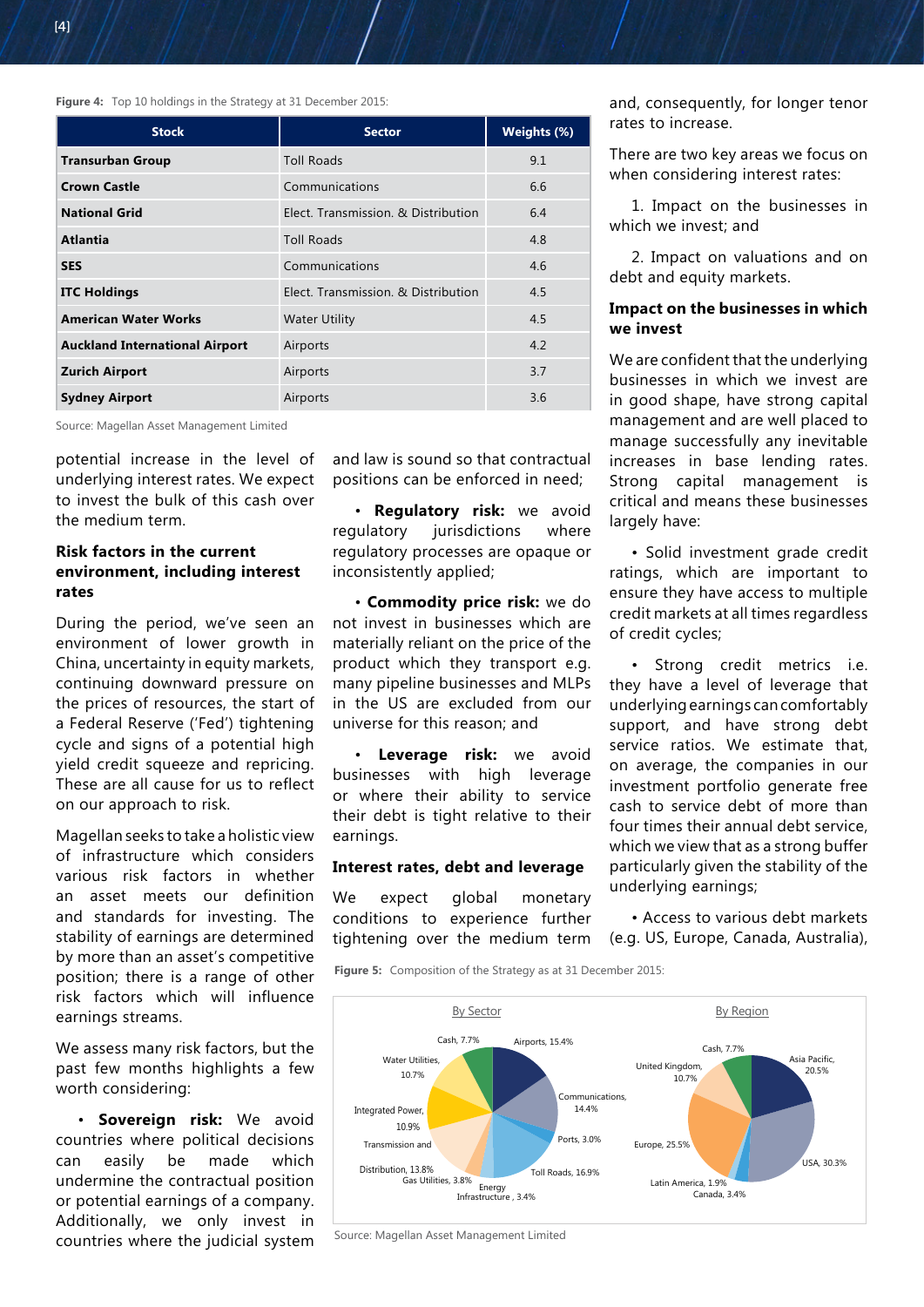**Figure 4:** Top 10 holdings in the Strategy at 31 December 2015:

| <b>Stock</b>                          | <b>Sector</b>                       | Weights (%) |
|---------------------------------------|-------------------------------------|-------------|
| <b>Transurban Group</b>               | <b>Toll Roads</b>                   | 9.1         |
| <b>Crown Castle</b>                   | Communications                      | 6.6         |
| <b>National Grid</b>                  | Elect. Transmission. & Distribution | 6.4         |
| <b>Atlantia</b>                       | <b>Toll Roads</b>                   | 4.8         |
| <b>SES</b>                            | Communications                      | 4.6         |
| <b>ITC Holdings</b>                   | Elect. Transmission. & Distribution | 4.5         |
| <b>American Water Works</b>           | <b>Water Utility</b>                | 4.5         |
| <b>Auckland International Airport</b> | Airports                            | 4.2         |
| <b>Zurich Airport</b>                 | Airports                            | 3.7         |
| <b>Sydney Airport</b>                 | Airports                            | 3.6         |

Source: Magellan Asset Management Limited

potential increase in the level of underlying interest rates. We expect to invest the bulk of this cash over the medium term.

### **Risk factors in the current environment, including interest rates**

During the period, we've seen an environment of lower growth in China, uncertainty in equity markets, continuing downward pressure on the prices of resources, the start of a Federal Reserve ('Fed') tightening cycle and signs of a potential high yield credit squeeze and repricing. These are all cause for us to reflect on our approach to risk.

Magellan seeks to take a holistic view of infrastructure which considers various risk factors in whether an asset meets our definition and standards for investing. The stability of earnings are determined by more than an asset's competitive position; there is a range of other risk factors which will influence earnings streams.

We assess many risk factors, but the past few months highlights a few worth considering:

• **Sovereign risk:** We avoid countries where political decisions can easily be made which undermine the contractual position or potential earnings of a company. Additionally, we only invest in countries where the judicial system

and law is sound so that contractual positions can be enforced in need;

• **Regulatory risk:** we avoid regulatory jurisdictions where regulatory processes are opaque or inconsistently applied;

• **Commodity price risk:** we do not invest in businesses which are materially reliant on the price of the product which they transport e.g. many pipeline businesses and MLPs in the US are excluded from our universe for this reason; and

• **Leverage risk:** we avoid businesses with high leverage or where their ability to service their debt is tight relative to their earnings.

#### **Interest rates, debt and leverage**

We expect global monetary conditions to experience further tightening over the medium term

**Figure 5:** Composition of the Strategy as at 31 December 2015:



There are two key areas we focus on when considering interest rates:

1. Impact on the businesses in which we invest; and

2. Impact on valuations and on debt and equity markets.

#### **Impact on the businesses in which we invest**

We are confident that the underlying businesses in which we invest are in good shape, have strong capital management and are well placed to manage successfully any inevitable increases in base lending rates. Strong capital management is critical and means these businesses largely have:

• Solid investment grade credit ratings, which are important to ensure they have access to multiple credit markets at all times regardless of credit cycles;

• Strong credit metrics i.e. they have a level of leverage that underlying earnings can comfortably support, and have strong debt service ratios. We estimate that, on average, the companies in our investment portfolio generate free cash to service debt of more than four times their annual debt service, which we view that as a strong buffer particularly given the stability of the underlying earnings;

• Access to various debt markets (e.g. US, Europe, Canada, Australia),



Source: Magellan Asset Management Limited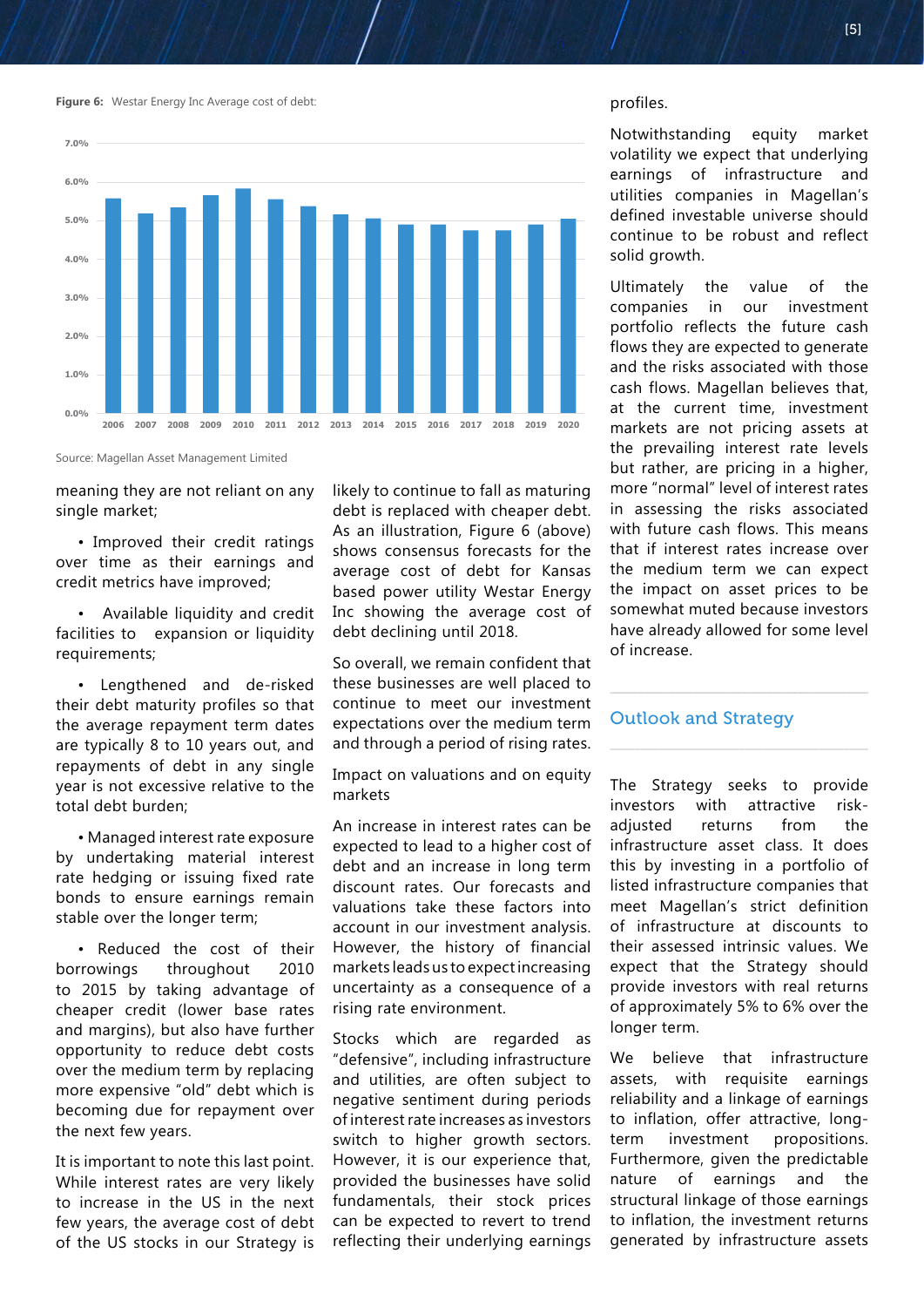**Figure 6:** Westar Energy Inc Average cost of debt:



Source: Magellan Asset Management Limited

meaning they are not reliant on any single market;

• Improved their credit ratings over time as their earnings and credit metrics have improved;

• Available liquidity and credit facilities to expansion or liquidity requirements;

• Lengthened and de-risked their debt maturity profiles so that the average repayment term dates are typically 8 to 10 years out, and repayments of debt in any single year is not excessive relative to the total debt burden;

• Managed interest rate exposure by undertaking material interest rate hedging or issuing fixed rate bonds to ensure earnings remain stable over the longer term;

• Reduced the cost of their borrowings throughout 2010 to 2015 by taking advantage of cheaper credit (lower base rates and margins), but also have further opportunity to reduce debt costs over the medium term by replacing more expensive "old" debt which is becoming due for repayment over the next few years.

It is important to note this last point. While interest rates are very likely to increase in the US in the next few years, the average cost of debt of the US stocks in our Strategy is

likely to continue to fall as maturing debt is replaced with cheaper debt. As an illustration, Figure 6 (above) shows consensus forecasts for the average cost of debt for Kansas based power utility Westar Energy Inc showing the average cost of debt declining until 2018.

So overall, we remain confident that these businesses are well placed to continue to meet our investment expectations over the medium term and through a period of rising rates.

Impact on valuations and on equity markets

An increase in interest rates can be expected to lead to a higher cost of debt and an increase in long term discount rates. Our forecasts and valuations take these factors into account in our investment analysis. However, the history of financial markets leads us to expect increasing uncertainty as a consequence of a rising rate environment.

Stocks which are regarded as "defensive", including infrastructure and utilities, are often subject to negative sentiment during periods of interest rate increases as investors switch to higher growth sectors. However, it is our experience that, provided the businesses have solid fundamentals, their stock prices can be expected to revert to trend reflecting their underlying earnings profiles.

Notwithstanding equity market volatility we expect that underlying earnings of infrastructure and utilities companies in Magellan's defined investable universe should continue to be robust and reflect solid growth.

Ultimately the value of the<br>companies in our investment companies in our investment portfolio reflects the future cash flows they are expected to generate and the risks associated with those cash flows. Magellan believes that, at the current time, investment markets are not pricing assets at the prevailing interest rate levels but rather, are pricing in a higher, more "normal" level of interest rates in assessing the risks associated with future cash flows. This means that if interest rates increase over the medium term we can expect the impact on asset prices to be somewhat muted because investors have already allowed for some level of increase.

#### Outlook and Strategy

\_\_\_\_\_\_\_\_\_\_\_\_\_\_\_\_\_\_\_\_\_\_\_\_\_\_\_\_\_\_\_\_\_\_\_\_\_\_\_\_\_\_

The Strategy seeks to provide investors with attractive riskadjusted returns from the infrastructure asset class. It does this by investing in a portfolio of listed infrastructure companies that meet Magellan's strict definition of infrastructure at discounts to their assessed intrinsic values. We expect that the Strategy should provide investors with real returns of approximately 5% to 6% over the longer term.

We believe that infrastructure assets, with requisite earnings reliability and a linkage of earnings to inflation, offer attractive, longterm investment propositions. Furthermore, given the predictable nature of earnings and the structural linkage of those earnings to inflation, the investment returns generated by infrastructure assets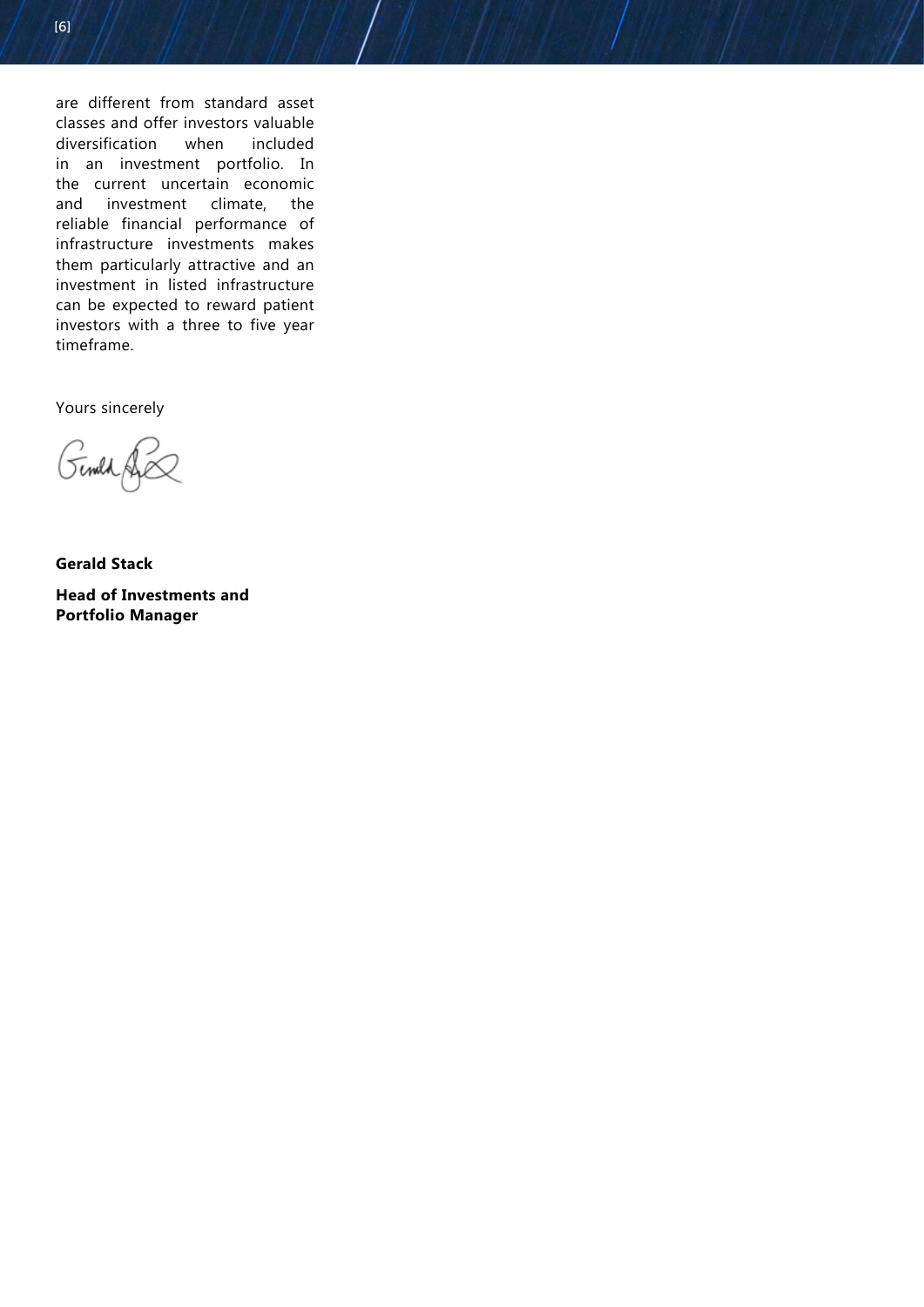are different from standard asset classes and offer investors valuable diversification when included in an investment portfolio. In the current uncertain economic and investment climate, the reliable financial performance of infrastructure investments makes them particularly attractive and an investment in listed infrastructure can be expected to reward patient investors with a three to five year timeframe.

Yours sincerely

Gemld

**Gerald Stack**

**Head of Investments and Portfolio Manager**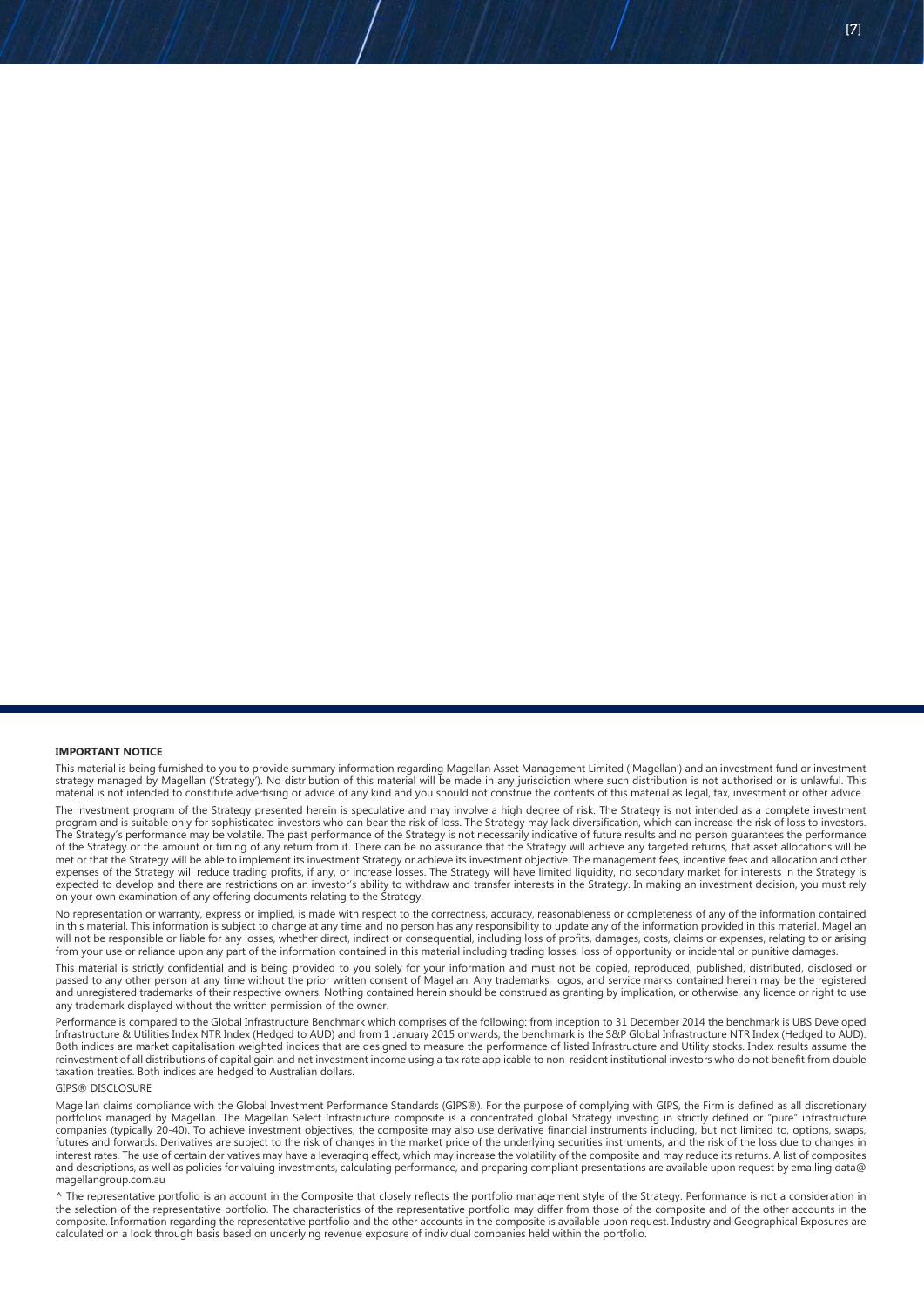This material is being furnished to you to provide summary information regarding Magellan Asset Management Limited ('Magellan') and an investment fund or investment strategy managed by Magellan ('Strategy'). No distribution of this material will be made in any jurisdiction where such distribution is not authorised or is unlawful. This material is not intended to constitute advertising or advice of any kind and you should not construe the contents of this material as legal, tax, investment or other advice.

The investment program of the Strategy presented herein is speculative and may involve a high degree of risk. The Strategy is not intended as a complete investment program and is suitable only for sophisticated investors who can bear the risk of loss. The Strategy may lack diversification, which can increase the risk of loss to investors. The Strategy's performance may be volatile. The past performance of the Strategy is not necessarily indicative of future results and no person guarantees the performance of the Strategy or the amount or timing of any return from it. There can be no assurance that the Strategy will achieve any targeted returns, that asset allocations will be met or that the Strategy will be able to implement its investment Strategy or achieve its investment objective. The management fees, incentive fees and allocation and other expenses of the Strategy will reduce trading profits, if any, or increase losses. The Strategy will have limited liquidity, no secondary market for interests in the Strategy is expected to develop and there are restrictions on an investor's ability to withdraw and transfer interests in the Strategy. In making an investment decision, you must rely on your own examination of any offering documents relating to the Strategy.

No representation or warranty, express or implied, is made with respect to the correctness, accuracy, reasonableness or completeness of any of the information contained in this material. This information is subject to change at any time and no person has any responsibility to update any of the information provided in this material. Magellan will not be responsible or liable for any losses, whether direct, indirect or consequential, including loss of profits, damages, costs, claims or expenses, relating to or arising from your use or reliance upon any part of the information contained in this material including trading losses, loss of opportunity or incidental or punitive damages

This material is strictly confidential and is being provided to you solely for your information and must not be copied, reproduced, published, distributed, disclosed or passed to any other person at any time without the prior written consent of Magellan. Any trademarks, logos, and service marks contained herein may be the registered and unregistered trademarks of their respective owners. Nothing contained herein should be construed as granting by implication, or otherwise, any licence or right to use any trademark displayed without the written permission of the owner.

Performance is compared to the Global Infrastructure Benchmark which comprises of the following: from inception to 31 December 2014 the benchmark is UBS Developed Infrastructure & Utilities Index NTR Index (Hedged to AUD) and from 1 January 2015 onwards, the benchmark is the S&P Global Infrastructure NTR Index (Hedged to AUD). Both indices are market capitalisation weighted indices that are designed to measure the performance of listed Infrastructure and Utility stocks. Index results assume the reinvestment of all distributions of capital gain and net investment income using a tax rate applicable to non-resident institutional investors who do not benefit from double taxation treaties. Both indices are hedged to Australian dollars.

#### GIPS® DISCLOSURE

Magellan claims compliance with the Global Investment Performance Standards (GIPS®). For the purpose of complying with GIPS, the Firm is defined as all discretionary portfolios managed by Magellan. The Magellan Select Infrastructure composite is a concentrated global Strategy investing in strictly defined or "pure" infrastructure companies (typically 20-40). To achieve investment objectives, the composite may also use derivative financial instruments including, but not limited to, options, swaps, futures and forwards. Derivatives are subject to the risk of changes in the market price of the underlying securities instruments, and the risk of the loss due to changes in interest rates. The use of certain derivatives may have a leveraging effect, which may increase the volatility of the composite and may reduce its returns. A list of composites and descriptions, as well as policies for valuing investments, calculating performance, and preparing compliant presentations are available upon request by emailing data@ magellangroup.com.au

^ The representative portfolio is an account in the Composite that closely reflects the portfolio management style of the Strategy. Performance is not a consideration in the selection of the representative portfolio. The characteristics of the representative portfolio may differ from those of the composite and of the other accounts in the composite. Information regarding the representative portfolio and the other accounts in the composite is available upon request. Industry and Geographical Exposures are calculated on a look through basis based on underlying revenue exposure of individual companies held within the portfolio.